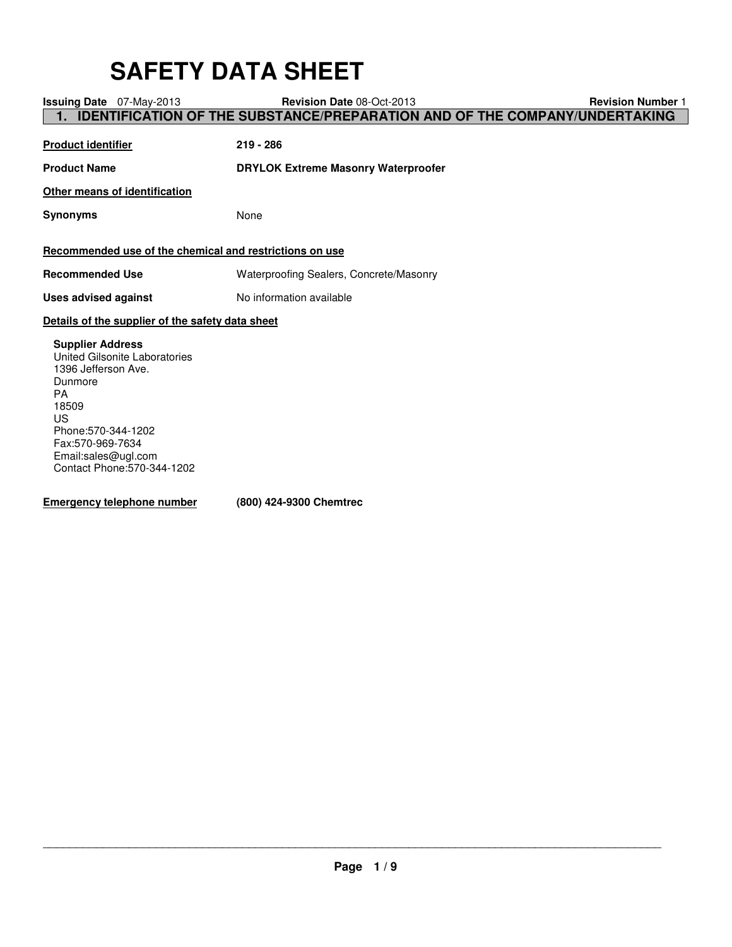# **SAFETY DATA SHEET**

| Issuing Date 07-May-2013                                                                                                                                                                                                       | <b>Revision Date 08-Oct-2013</b>                                                  | <b>Revision Number 1</b> |
|--------------------------------------------------------------------------------------------------------------------------------------------------------------------------------------------------------------------------------|-----------------------------------------------------------------------------------|--------------------------|
| 1.                                                                                                                                                                                                                             | <b>IDENTIFICATION OF THE SUBSTANCE/PREPARATION AND OF THE COMPANY/UNDERTAKING</b> |                          |
| <b>Product identifier</b>                                                                                                                                                                                                      | $219 - 286$                                                                       |                          |
| <b>Product Name</b>                                                                                                                                                                                                            | <b>DRYLOK Extreme Masonry Waterproofer</b>                                        |                          |
| Other means of identification                                                                                                                                                                                                  |                                                                                   |                          |
| <b>Synonyms</b>                                                                                                                                                                                                                | None                                                                              |                          |
| Recommended use of the chemical and restrictions on use                                                                                                                                                                        |                                                                                   |                          |
| <b>Recommended Use</b>                                                                                                                                                                                                         | Waterproofing Sealers, Concrete/Masonry                                           |                          |
| <b>Uses advised against</b>                                                                                                                                                                                                    | No information available                                                          |                          |
| Details of the supplier of the safety data sheet                                                                                                                                                                               |                                                                                   |                          |
| <b>Supplier Address</b><br><b>United Gilsonite Laboratories</b><br>1396 Jefferson Ave.<br>Dunmore<br><b>PA</b><br>18509<br>US<br>Phone: 570-344-1202<br>Fax:570-969-7634<br>Email:sales@ugl.com<br>Contact Phone: 570-344-1202 |                                                                                   |                          |

**Emergency telephone number (800) 424-9300 Chemtrec**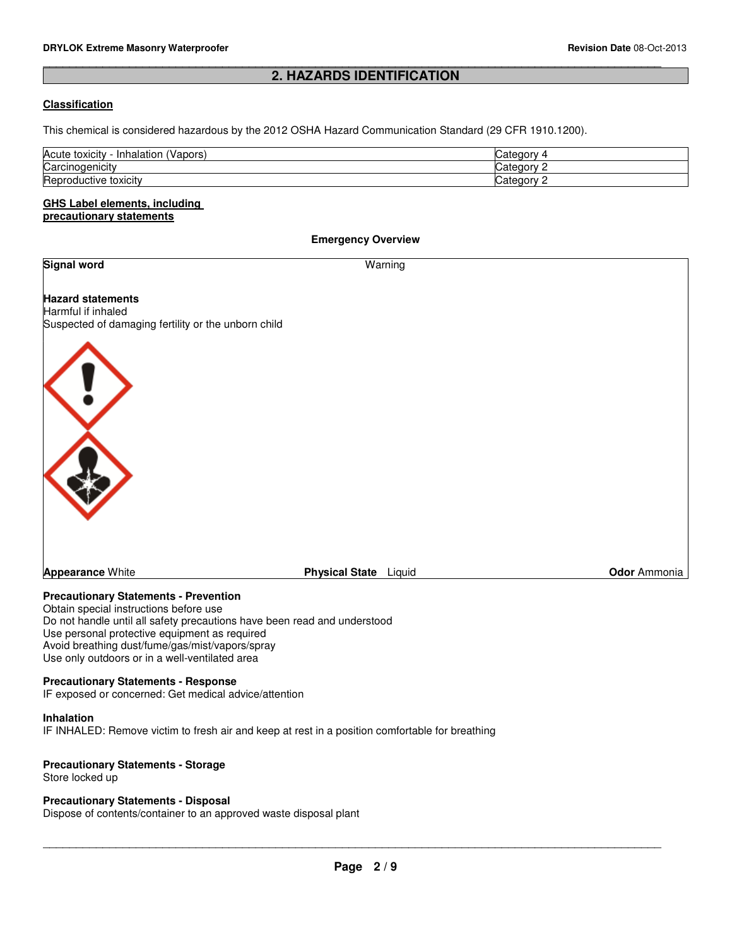## **2. HAZARDS IDENTIFICATION**

\_\_\_\_\_\_\_\_\_\_\_\_\_\_\_\_\_\_\_\_\_\_\_\_\_\_\_\_\_\_\_\_\_\_\_\_\_\_\_\_\_\_\_\_\_\_\_\_\_\_\_\_\_\_\_\_\_\_\_\_\_\_\_\_\_\_\_\_\_\_\_\_\_\_\_\_\_\_\_\_\_\_\_\_\_\_\_\_\_\_\_\_\_

#### **Classification**

This chemical is considered hazardous by the 2012 OSHA Hazard Communication Standard (29 CFR 1910.1200).

| Acute<br>Inhalation<br>'Vapors.<br>toxicity | Jatedor:<br>w          |
|---------------------------------------------|------------------------|
| Carcinogenicity                             | ataann<br>ualcyu       |
| Reproductive toxicity                       | atogor<br>77<br>valtuu |

#### **GHS Label elements, including precautionary statements**

#### **Emergency Overview**

#### **Signal word** Warning

**Hazard statements** Harmful if inhaled Suspected of damaging fertility or the unborn child



**Appearance** White **Physical State** Liquid **Odor** Ammonia

#### **Precautionary Statements - Prevention**

Obtain special instructions before use Do not handle until all safety precautions have been read and understood Use personal protective equipment as required Avoid breathing dust/fume/gas/mist/vapors/spray Use only outdoors or in a well-ventilated area

#### **Precautionary Statements - Response**

IF exposed or concerned: Get medical advice/attention

#### **Inhalation**

IF INHALED: Remove victim to fresh air and keep at rest in a position comfortable for breathing

#### **Precautionary Statements - Storage**

Store locked up

#### **Precautionary Statements - Disposal**

Dispose of contents/container to an approved waste disposal plant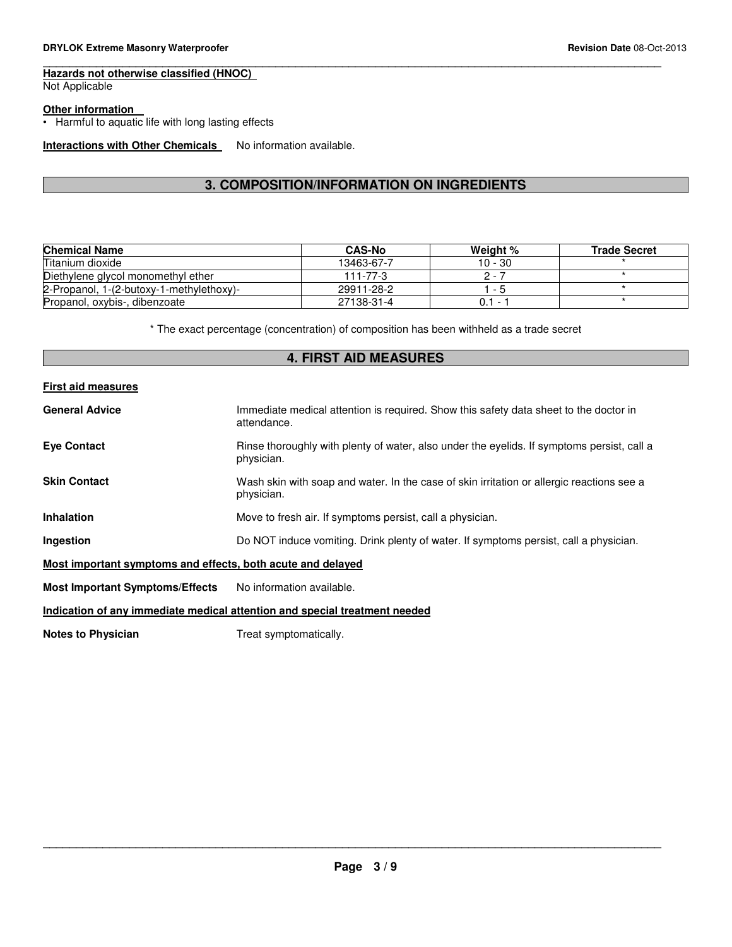## **Hazards not otherwise classified (HNOC)**

Not Applicable

#### **Other information**

• Harmful to aquatic life with long lasting effects

## **Interactions with Other Chemicals** No information available.

## **3. COMPOSITION/INFORMATION ON INGREDIENTS**

\_\_\_\_\_\_\_\_\_\_\_\_\_\_\_\_\_\_\_\_\_\_\_\_\_\_\_\_\_\_\_\_\_\_\_\_\_\_\_\_\_\_\_\_\_\_\_\_\_\_\_\_\_\_\_\_\_\_\_\_\_\_\_\_\_\_\_\_\_\_\_\_\_\_\_\_\_\_\_\_\_\_\_\_\_\_\_\_\_\_\_\_\_

| <b>Chemical Name</b>                     | <b>CAS-No</b> | Weight %  | <b>Trade Secret</b> |
|------------------------------------------|---------------|-----------|---------------------|
| Titanium dioxide                         | 13463-67-7    | 10 - 30   |                     |
| Diethylene glycol monomethyl ether       | 111-77-3      | 2 - 7     |                     |
| 2-Propanol, 1-(2-butoxy-1-methylethoxy)- | 29911-28-2    | - 5       |                     |
| Propanol, oxybis-, dibenzoate            | 27138-31-4    | $0.1 - 1$ |                     |

\* The exact percentage (concentration) of composition has been withheld as a trade secret

## **4. FIRST AID MEASURES**

#### **First aid measures**

| <b>General Advice</b>                                       | Immediate medical attention is required. Show this safety data sheet to the doctor in<br>attendance.     |
|-------------------------------------------------------------|----------------------------------------------------------------------------------------------------------|
| <b>Eye Contact</b>                                          | Rinse thoroughly with plenty of water, also under the eyelids. If symptoms persist, call a<br>physician. |
| <b>Skin Contact</b>                                         | Wash skin with soap and water. In the case of skin irritation or allergic reactions see a<br>physician.  |
| <b>Inhalation</b>                                           | Move to fresh air. If symptoms persist, call a physician.                                                |
| Ingestion                                                   | Do NOT induce vomiting. Drink plenty of water. If symptoms persist, call a physician.                    |
| Most important symptoms and effects, both acute and delayed |                                                                                                          |
| <b>Most Important Symptoms/Effects</b>                      | No information available.                                                                                |
|                                                             | Indication of any immediate medical attention and special treatment needed                               |
| Natos to Dhusisian                                          | Troot oumntamatically                                                                                    |

**Notes to Physician** Treat symptomatically.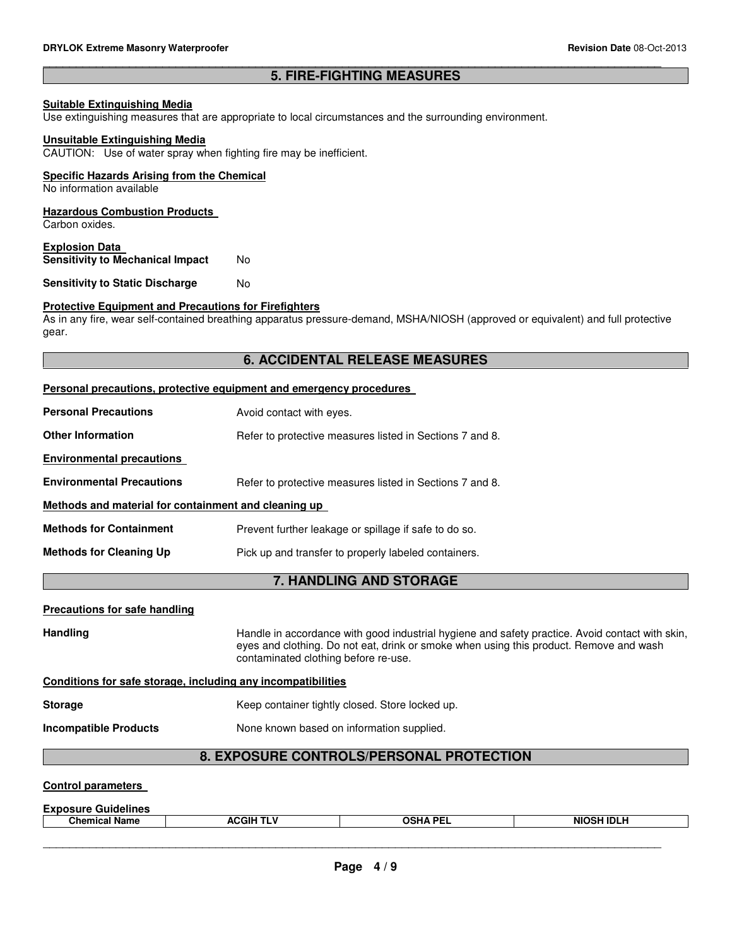#### \_\_\_\_\_\_\_\_\_\_\_\_\_\_\_\_\_\_\_\_\_\_\_\_\_\_\_\_\_\_\_\_\_\_\_\_\_\_\_\_\_\_\_\_\_\_\_\_\_\_\_\_\_\_\_\_\_\_\_\_\_\_\_\_\_\_\_\_\_\_\_\_\_\_\_\_\_\_\_\_\_\_\_\_\_\_\_\_\_\_\_\_\_ **5. FIRE-FIGHTING MEASURES**

#### **Suitable Extinguishing Media**

Use extinguishing measures that are appropriate to local circumstances and the surrounding environment.

#### **Unsuitable Extinguishing Media**

CAUTION: Use of water spray when fighting fire may be inefficient.

#### **Specific Hazards Arising from the Chemical**

No information available

#### **Hazardous Combustion Products**

Carbon oxides.

#### **Explosion Data Sensitivity to Mechanical Impact** No

**Sensitivity to Static Discharge Moments** 

#### **Protective Equipment and Precautions for Firefighters**

As in any fire, wear self-contained breathing apparatus pressure-demand, MSHA/NIOSH (approved or equivalent) and full protective gear.

### **6. ACCIDENTAL RELEASE MEASURES**

|                                                              | Personal precautions, protective equipment and emergency procedures                                                                                                                                                               |  |
|--------------------------------------------------------------|-----------------------------------------------------------------------------------------------------------------------------------------------------------------------------------------------------------------------------------|--|
| <b>Personal Precautions</b>                                  | Avoid contact with eyes.                                                                                                                                                                                                          |  |
| <b>Other Information</b>                                     | Refer to protective measures listed in Sections 7 and 8.                                                                                                                                                                          |  |
| <b>Environmental precautions</b>                             |                                                                                                                                                                                                                                   |  |
| <b>Environmental Precautions</b>                             | Refer to protective measures listed in Sections 7 and 8.                                                                                                                                                                          |  |
| Methods and material for containment and cleaning up         |                                                                                                                                                                                                                                   |  |
| <b>Methods for Containment</b>                               | Prevent further leakage or spillage if safe to do so.                                                                                                                                                                             |  |
| <b>Methods for Cleaning Up</b>                               | Pick up and transfer to properly labeled containers.                                                                                                                                                                              |  |
|                                                              | <b>7. HANDLING AND STORAGE</b>                                                                                                                                                                                                    |  |
| <b>Precautions for safe handling</b>                         |                                                                                                                                                                                                                                   |  |
| <b>Handling</b>                                              | Handle in accordance with good industrial hygiene and safety practice. Avoid contact with skin,<br>eyes and clothing. Do not eat, drink or smoke when using this product. Remove and wash<br>contaminated clothing before re-use. |  |
| Conditions for safe storage, including any incompatibilities |                                                                                                                                                                                                                                   |  |

#### **Storage** Keep container tightly closed. Store locked up.

**Incompatible Products** None known based on information supplied.

## **8. EXPOSURE CONTROLS/PERSONAL PROTECTION**

#### **Control parameters**

| <b>Exposure</b><br>Guidelines |                      |                 |                   |
|-------------------------------|----------------------|-----------------|-------------------|
| .<br><b>Chemical Name</b>     | ACGIH T<br>-- -<br>. | <b>OCHA DEI</b> | <b>NIOSH IDLF</b> |
|                               |                      |                 |                   |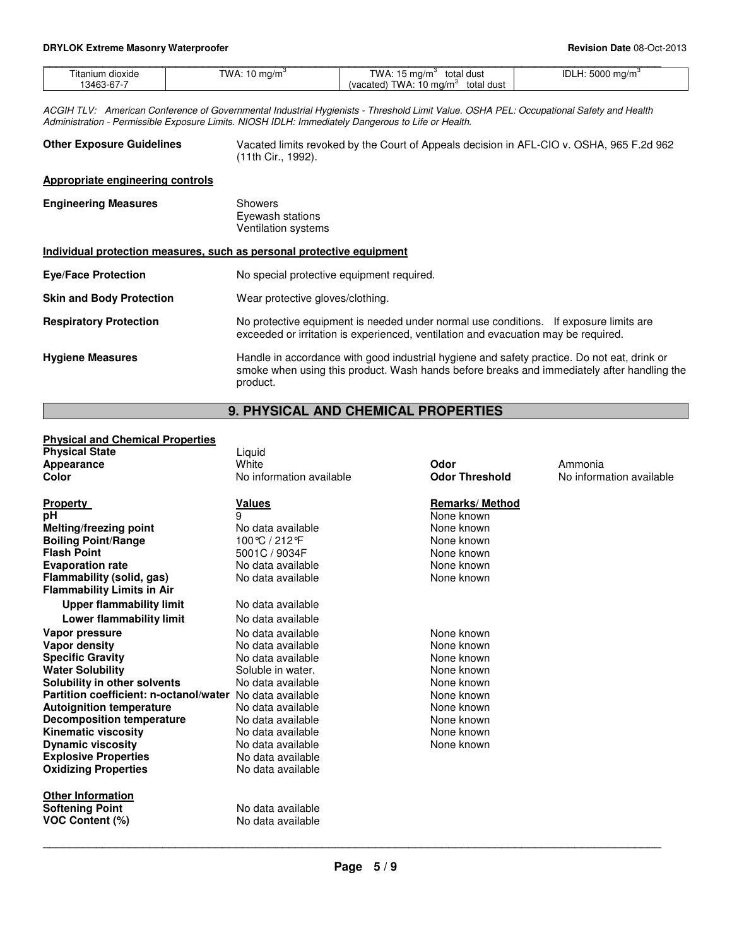| Fitanium dioxide | TWA: 1<br>$10 \text{ ma/m}$ <sup>3</sup> | TWA: 15.<br>total dust<br>ma/m° د               | <b>EOOO</b><br>idl<br>H.<br>mq/m <sup>3</sup> |
|------------------|------------------------------------------|-------------------------------------------------|-----------------------------------------------|
| 13463-67-7       |                                          | TWA.<br>total dust<br>∣ ma/m°<br>(vacated)<br>v |                                               |
|                  |                                          |                                                 |                                               |

ACGIH TLV: American Conference of Governmental Industrial Hygienists - Threshold Limit Value. OSHA PEL: Occupational Safety and Health Administration - Permissible Exposure Limits. NIOSH IDLH: Immediately Dangerous to Life or Health.

| <b>Other Exposure Guidelines</b> | Vacated limits revoked by the Court of Appeals decision in AFL-CIO v. OSHA, 965 F.2d 962 |
|----------------------------------|------------------------------------------------------------------------------------------|
|                                  | (11th Cir., 1992).                                                                       |

#### **Appropriate engineering controls**

| <b>Engineering Measures</b>                                           | Showers<br>Eyewash stations<br><b>Ventilation systems</b>                                                                                                                                             |
|-----------------------------------------------------------------------|-------------------------------------------------------------------------------------------------------------------------------------------------------------------------------------------------------|
| Individual protection measures, such as personal protective equipment |                                                                                                                                                                                                       |
| <b>Eve/Face Protection</b>                                            | No special protective equipment required.                                                                                                                                                             |
| <b>Skin and Body Protection</b>                                       | Wear protective gloves/clothing.                                                                                                                                                                      |
| <b>Respiratory Protection</b>                                         | No protective equipment is needed under normal use conditions. If exposure limits are<br>exceeded or irritation is experienced, ventilation and evacuation may be required.                           |
| <b>Hygiene Measures</b>                                               | Handle in accordance with good industrial hygiene and safety practice. Do not eat, drink or<br>smoke when using this product. Wash hands before breaks and immediately after handling the<br>product. |

## **9. PHYSICAL AND CHEMICAL PROPERTIES**

## **Physical and Chemical Properties**

| <b>Physical State</b>                                    | Liquid                   |                       |                          |
|----------------------------------------------------------|--------------------------|-----------------------|--------------------------|
| Appearance                                               | White                    | Odor                  | Ammonia                  |
| Color                                                    | No information available | <b>Odor Threshold</b> | No information available |
|                                                          |                          |                       |                          |
| Property                                                 | <b>Values</b>            | <b>Remarks/Method</b> |                          |
| рH                                                       | q                        | None known            |                          |
| Melting/freezing point                                   | No data available        | None known            |                          |
| <b>Boiling Point/Range</b>                               | 100℃ / 212 °F            | None known            |                          |
| <b>Flash Point</b>                                       | 5001C / 9034F            | None known            |                          |
| <b>Evaporation rate</b>                                  | No data available        | None known            |                          |
| Flammability (solid, gas)                                | No data available        | None known            |                          |
| <b>Flammability Limits in Air</b>                        |                          |                       |                          |
| <b>Upper flammability limit</b>                          | No data available        |                       |                          |
| Lower flammability limit                                 | No data available        |                       |                          |
| Vapor pressure                                           | No data available        | None known            |                          |
| Vapor density                                            | No data available        | None known            |                          |
| <b>Specific Gravity</b>                                  | No data available        | None known            |                          |
| <b>Water Solubility</b>                                  | Soluble in water.        | None known            |                          |
| Solubility in other solvents                             | No data available        | None known            |                          |
| Partition coefficient: n-octanol/water No data available |                          | None known            |                          |
| <b>Autoignition temperature</b>                          | No data available        | None known            |                          |
| <b>Decomposition temperature</b>                         | No data available        | None known            |                          |
| Kinematic viscosity                                      | No data available        | None known            |                          |
| <b>Dynamic viscosity</b>                                 | No data available        | None known            |                          |
| <b>Explosive Properties</b>                              | No data available        |                       |                          |
| <b>Oxidizing Properties</b>                              | No data available        |                       |                          |
|                                                          |                          |                       |                          |
| <b>Other Information</b>                                 |                          |                       |                          |
| <b>Softening Point</b>                                   | No data available        |                       |                          |
| <b>VOC Content (%)</b>                                   | No data available        |                       |                          |
|                                                          |                          |                       |                          |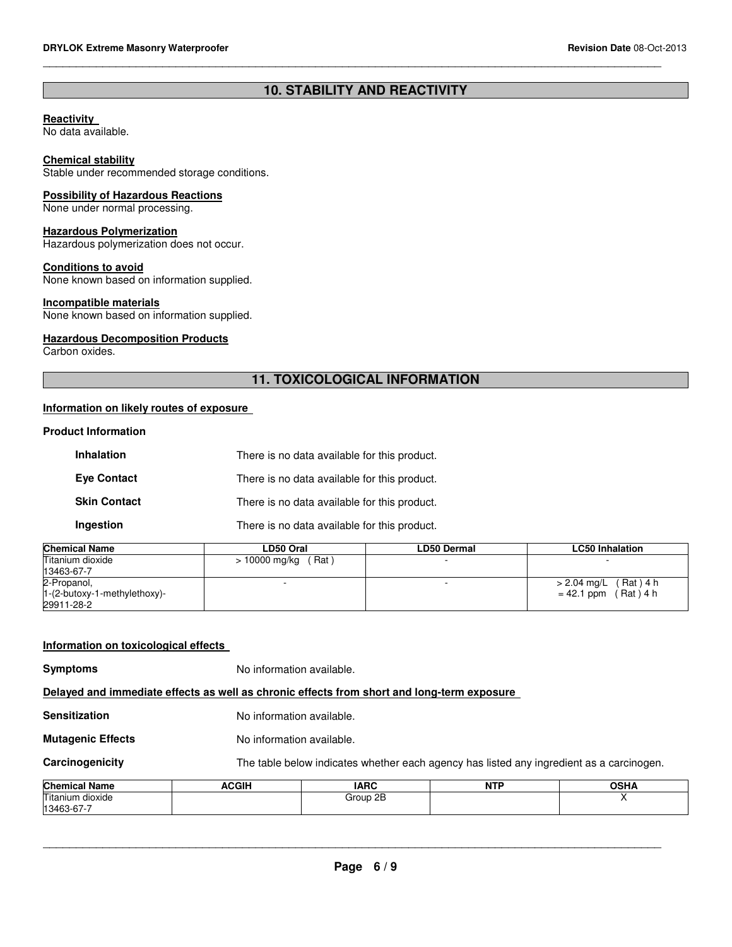## **10. STABILITY AND REACTIVITY**

\_\_\_\_\_\_\_\_\_\_\_\_\_\_\_\_\_\_\_\_\_\_\_\_\_\_\_\_\_\_\_\_\_\_\_\_\_\_\_\_\_\_\_\_\_\_\_\_\_\_\_\_\_\_\_\_\_\_\_\_\_\_\_\_\_\_\_\_\_\_\_\_\_\_\_\_\_\_\_\_\_\_\_\_\_\_\_\_\_\_\_\_\_

#### **Reactivity**

No data available.

#### **Chemical stability**

Stable under recommended storage conditions.

#### **Possibility of Hazardous Reactions**

None under normal processing.

#### **Hazardous Polymerization**

Hazardous polymerization does not occur.

#### **Conditions to avoid**

None known based on information supplied.

#### **Incompatible materials**

None known based on information supplied.

#### **Hazardous Decomposition Products**

Carbon oxides.

## **11. TOXICOLOGICAL INFORMATION**

#### **Information on likely routes of exposure**

#### **Product Information**

| <b>Inhalation</b>   | There is no data available for this product. |
|---------------------|----------------------------------------------|
| <b>Eve Contact</b>  | There is no data available for this product. |
| <b>Skin Contact</b> | There is no data available for this product. |
| Ingestion           | There is no data available for this product. |

| <b>Chemical Name</b>           | LD50 Oral             | LD50 Dermal | <b>LC50 Inhalation</b>   |
|--------------------------------|-----------------------|-------------|--------------------------|
| Titanium dioxide               | $> 10000$ mg/kg (Rat) |             | $\overline{\phantom{0}}$ |
| 13463-67-7                     |                       |             |                          |
| 2-Propanol,                    |                       |             | > 2.04 mg/L (Rat) 4 h    |
| $1-(2-butoxy-1-methylethoxy)-$ |                       |             | $= 42.1$ ppm (Rat) 4 h   |
| 29911-28-2                     |                       |             |                          |
|                                |                       |             |                          |

| Information on toxicological effects |                                                          |                                                                                            |  |   |  |  |
|--------------------------------------|----------------------------------------------------------|--------------------------------------------------------------------------------------------|--|---|--|--|
| <b>Symptoms</b>                      |                                                          | No information available.                                                                  |  |   |  |  |
|                                      |                                                          | Delayed and immediate effects as well as chronic effects from short and long-term exposure |  |   |  |  |
| <b>Sensitization</b>                 |                                                          | No information available.                                                                  |  |   |  |  |
| <b>Mutagenic Effects</b>             |                                                          | No information available.                                                                  |  |   |  |  |
| Carcinogenicity                      |                                                          | The table below indicates whether each agency has listed any ingredient as a carcinogen.   |  |   |  |  |
| <b>Chemical Name</b>                 | <b>ACGIH</b><br><b>IARC</b><br><b>NTP</b><br><b>OSHA</b> |                                                                                            |  |   |  |  |
| Titanium dioxide<br>13463-67-7       |                                                          | Group 2B                                                                                   |  | x |  |  |
|                                      |                                                          |                                                                                            |  |   |  |  |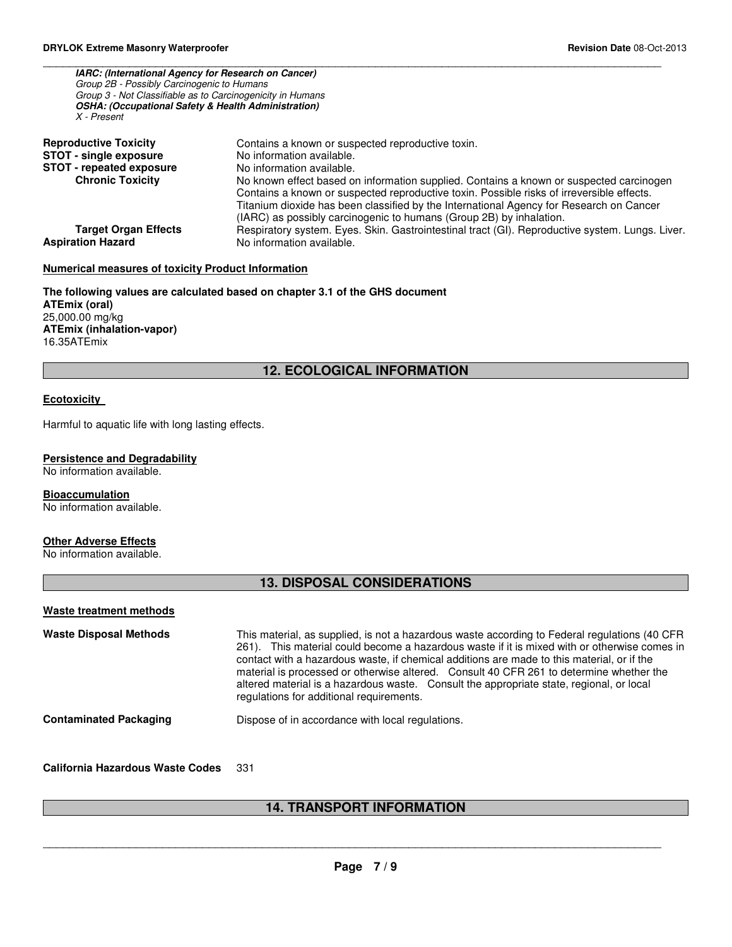| <b>IARC: (International Agency for Research on Cancer)</b><br>Group 2B - Possibly Carcinogenic to Humans<br>Group 3 - Not Classifiable as to Carcinogenicity in Humans<br><b>OSHA: (Occupational Safety &amp; Health Administration)</b><br>X - Present |                                                                                                                                                                                                                                                                                                                                                                                             |
|---------------------------------------------------------------------------------------------------------------------------------------------------------------------------------------------------------------------------------------------------------|---------------------------------------------------------------------------------------------------------------------------------------------------------------------------------------------------------------------------------------------------------------------------------------------------------------------------------------------------------------------------------------------|
| <b>Reproductive Toxicity</b><br><b>STOT - single exposure</b><br><b>STOT - repeated exposure</b><br><b>Chronic Toxicity</b>                                                                                                                             | Contains a known or suspected reproductive toxin.<br>No information available.<br>No information available.<br>No known effect based on information supplied. Contains a known or suspected carcinogen                                                                                                                                                                                      |
| <b>Target Organ Effects</b><br><b>Aspiration Hazard</b>                                                                                                                                                                                                 | Contains a known or suspected reproductive toxin. Possible risks of irreversible effects.<br>Titanium dioxide has been classified by the International Agency for Research on Cancer<br>(IARC) as possibly carcinogenic to humans (Group 2B) by inhalation.<br>Respiratory system. Eyes. Skin. Gastrointestinal tract (GI). Reproductive system. Lungs. Liver.<br>No information available. |

\_\_\_\_\_\_\_\_\_\_\_\_\_\_\_\_\_\_\_\_\_\_\_\_\_\_\_\_\_\_\_\_\_\_\_\_\_\_\_\_\_\_\_\_\_\_\_\_\_\_\_\_\_\_\_\_\_\_\_\_\_\_\_\_\_\_\_\_\_\_\_\_\_\_\_\_\_\_\_\_\_\_\_\_\_\_\_\_\_\_\_\_\_

### **Numerical measures of toxicity Product Information**

**The following values are calculated based on chapter 3.1 of the GHS document ATEmix (oral)** 25,000.00 mg/kg **ATEmix (inhalation-vapor)** 16.35ATEmix

#### **12. ECOLOGICAL INFORMATION**

#### **Ecotoxicity**

Harmful to aquatic life with long lasting effects.

#### **Persistence and Degradability**

No information available.

#### **Bioaccumulation**

No information available.

#### **Other Adverse Effects**

No information available.

### **13. DISPOSAL CONSIDERATIONS**

| Waste treatment methods |  |
|-------------------------|--|
|                         |  |

| <b>Waste Disposal Methods</b> | This material, as supplied, is not a hazardous waste according to Federal regulations (40 CFR<br>261). This material could become a hazardous waste if it is mixed with or otherwise comes in<br>contact with a hazardous waste, if chemical additions are made to this material, or if the<br>material is processed or otherwise altered. Consult 40 CFR 261 to determine whether the<br>altered material is a hazardous waste. Consult the appropriate state, regional, or local<br>regulations for additional requirements. |
|-------------------------------|--------------------------------------------------------------------------------------------------------------------------------------------------------------------------------------------------------------------------------------------------------------------------------------------------------------------------------------------------------------------------------------------------------------------------------------------------------------------------------------------------------------------------------|
| <b>Contaminated Packaging</b> | Dispose of in accordance with local regulations.                                                                                                                                                                                                                                                                                                                                                                                                                                                                               |

**California Hazardous Waste Codes** 331

## **14. TRANSPORT INFORMATION**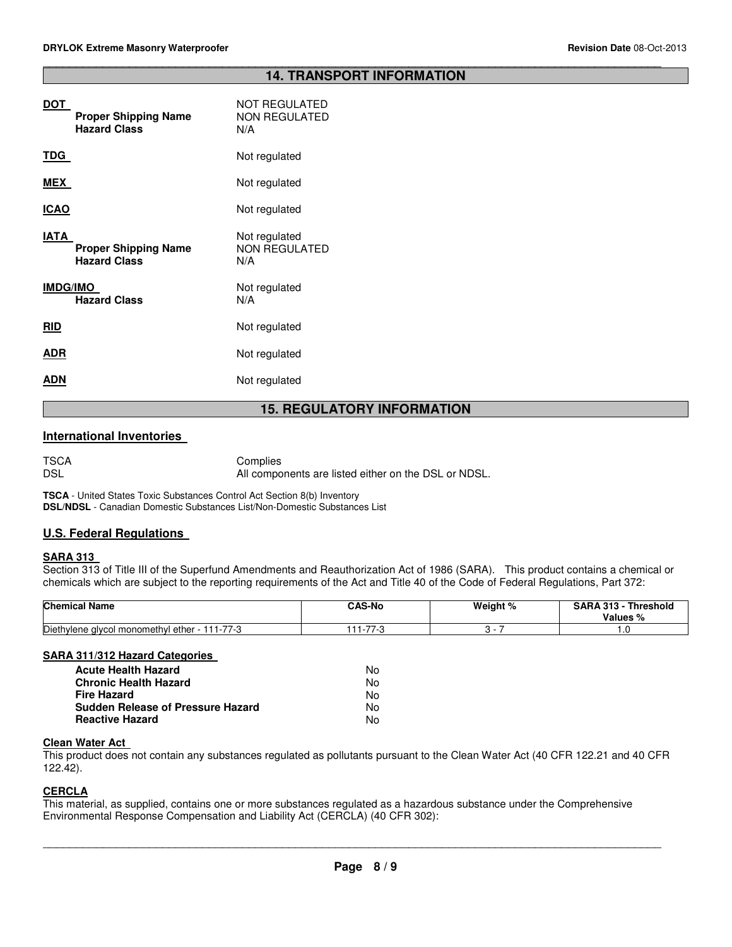#### \_\_\_\_\_\_\_\_\_\_\_\_\_\_\_\_\_\_\_\_\_\_\_\_\_\_\_\_\_\_\_\_\_\_\_\_\_\_\_\_\_\_\_\_\_\_\_\_\_\_\_\_\_\_\_\_\_\_\_\_\_\_\_\_\_\_\_\_\_\_\_\_\_\_\_\_\_\_\_\_\_\_\_\_\_\_\_\_\_\_\_\_\_ **14. TRANSPORT INFORMATION**

| DOT<br><b>Proper Shipping Name</b><br><b>Hazard Class</b>  | <b>NOT REGULATED</b><br><b>NON REGULATED</b><br>N/A |
|------------------------------------------------------------|-----------------------------------------------------|
| TDG                                                        | Not regulated                                       |
| MEX                                                        | Not regulated                                       |
| <b>ICAO</b>                                                | Not regulated                                       |
| IATA<br><b>Proper Shipping Name</b><br><b>Hazard Class</b> | Not regulated<br><b>NON REGULATED</b><br>N/A        |
| <b>IMDG/IMO</b><br><b>Hazard Class</b>                     | Not regulated<br>N/A                                |
| <b>RID</b>                                                 | Not regulated                                       |
| ADR                                                        | Not regulated                                       |
| ADN                                                        | Not regulated                                       |
|                                                            |                                                     |

### **15. REGULATORY INFORMATION**

#### **International Inventories**

| <b>TSCA</b> | Complies                                             |
|-------------|------------------------------------------------------|
| <b>DSL</b>  | All components are listed either on the DSL or NDSL. |

**TSCA** - United States Toxic Substances Control Act Section 8(b) Inventory **DSL/NDSL** - Canadian Domestic Substances List/Non-Domestic Substances List

#### **U.S. Federal Regulations**

#### **SARA 313**

Section 313 of Title III of the Superfund Amendments and Reauthorization Act of 1986 (SARA). This product contains a chemical or chemicals which are subject to the reporting requirements of the Act and Title 40 of the Code of Federal Regulations, Part 372:

| <b>Chemical Name</b>                          | <b>CAS-No</b>       | Weight % | <b>SARA 313 - Threshold</b><br>Values % |
|-----------------------------------------------|---------------------|----------|-----------------------------------------|
| Diethylene glycol monomethyl ether - 111-77-3 | - 77.0<br>75<br>. . |          | ں .                                     |
|                                               |                     |          |                                         |

#### **SARA 311/312 Hazard Categories**

| Acute Health Hazard               | N٥. |
|-----------------------------------|-----|
| Chronic Health Hazard             | No. |
| Fire Hazard                       | N٥. |
| Sudden Release of Pressure Hazard | No. |
| Reactive Hazard                   | N٥. |

#### **Clean Water Act**

This product does not contain any substances regulated as pollutants pursuant to the Clean Water Act (40 CFR 122.21 and 40 CFR 122.42).

#### **CERCLA**

This material, as supplied, contains one or more substances regulated as a hazardous substance under the Comprehensive Environmental Response Compensation and Liability Act (CERCLA) (40 CFR 302):